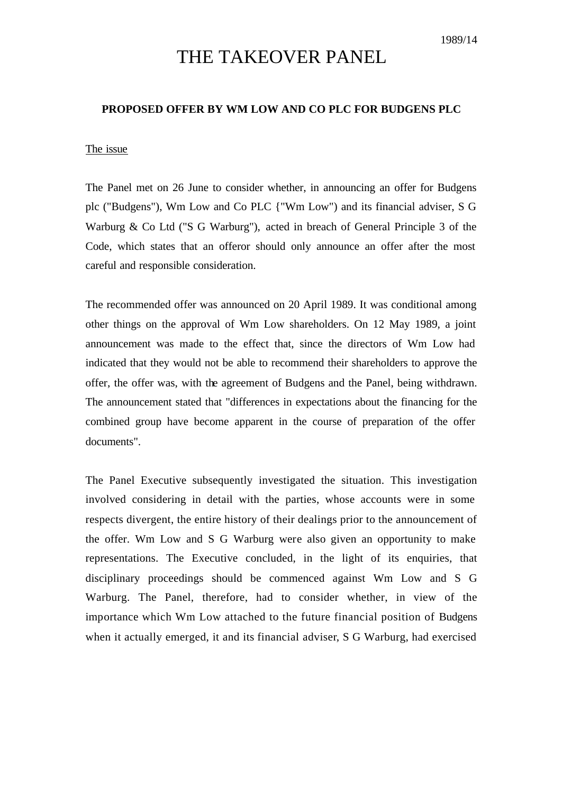# THE TAKEOVER PANEL

## **PROPOSED OFFER BY WM LOW AND CO PLC FOR BUDGENS PLC**

## The issue

The Panel met on 26 June to consider whether, in announcing an offer for Budgens plc ("Budgens"), Wm Low and Co PLC {"Wm Low") and its financial adviser, S G Warburg & Co Ltd ("S G Warburg"), acted in breach of General Principle 3 of the Code, which states that an offeror should only announce an offer after the most careful and responsible consideration.

The recommended offer was announced on 20 April 1989. It was conditional among other things on the approval of Wm Low shareholders. On 12 May 1989, a joint announcement was made to the effect that, since the directors of Wm Low had indicated that they would not be able to recommend their shareholders to approve the offer, the offer was, with the agreement of Budgens and the Panel, being withdrawn. The announcement stated that "differences in expectations about the financing for the combined group have become apparent in the course of preparation of the offer documents".

The Panel Executive subsequently investigated the situation. This investigation involved considering in detail with the parties, whose accounts were in some respects divergent, the entire history of their dealings prior to the announcement of the offer. Wm Low and S G Warburg were also given an opportunity to make representations. The Executive concluded, in the light of its enquiries, that disciplinary proceedings should be commenced against Wm Low and S G Warburg. The Panel, therefore, had to consider whether, in view of the importance which Wm Low attached to the future financial position of Budgens when it actually emerged, it and its financial adviser, S G Warburg, had exercised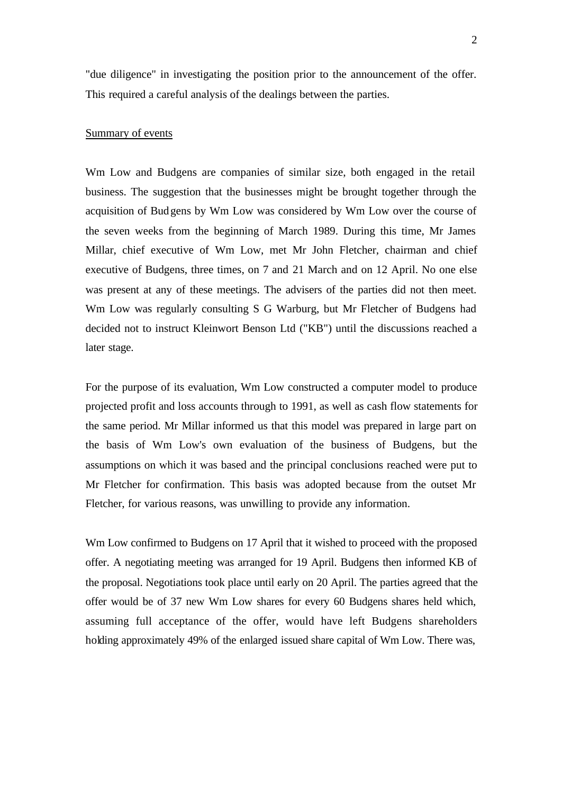"due diligence" in investigating the position prior to the announcement of the offer. This required a careful analysis of the dealings between the parties.

# Summary of events

Wm Low and Budgens are companies of similar size, both engaged in the retail business. The suggestion that the businesses might be brought together through the acquisition of Budgens by Wm Low was considered by Wm Low over the course of the seven weeks from the beginning of March 1989. During this time, Mr James Millar, chief executive of Wm Low, met Mr John Fletcher, chairman and chief executive of Budgens, three times, on 7 and 21 March and on 12 April. No one else was present at any of these meetings. The advisers of the parties did not then meet. Wm Low was regularly consulting S G Warburg, but Mr Fletcher of Budgens had decided not to instruct Kleinwort Benson Ltd ("KB") until the discussions reached a later stage.

For the purpose of its evaluation, Wm Low constructed a computer model to produce projected profit and loss accounts through to 1991, as well as cash flow statements for the same period. Mr Millar informed us that this model was prepared in large part on the basis of Wm Low's own evaluation of the business of Budgens, but the assumptions on which it was based and the principal conclusions reached were put to Mr Fletcher for confirmation. This basis was adopted because from the outset Mr Fletcher, for various reasons, was unwilling to provide any information.

Wm Low confirmed to Budgens on 17 April that it wished to proceed with the proposed offer. A negotiating meeting was arranged for 19 April. Budgens then informed KB of the proposal. Negotiations took place until early on 20 April. The parties agreed that the offer would be of 37 new Wm Low shares for every 60 Budgens shares held which, assuming full acceptance of the offer, would have left Budgens shareholders holding approximately 49% of the enlarged issued share capital of Wm Low. There was,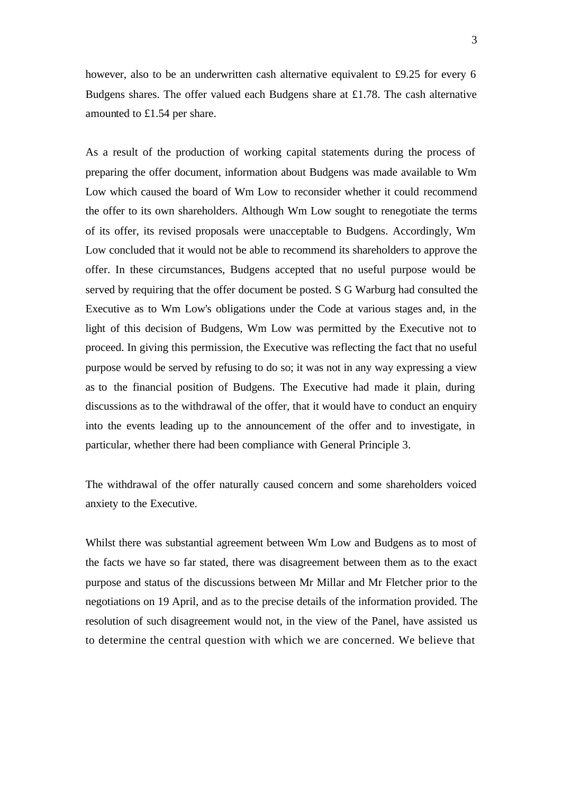however, also to be an underwritten cash alternative equivalent to £9.25 for every 6 Budgens shares. The offer valued each Budgens share at £1.78. The cash alternative amounted to £1.54 per share.

As a result of the production of working capital statements during the process of preparing the offer document, information about Budgens was made available to Wm Low which caused the board of Wm Low to reconsider whether it could recommend the offer to its own shareholders. Although Wm Low sought to renegotiate the terms of its offer, its revised proposals were unacceptable to Budgens. Accordingly, Wm Low concluded that it would not be able to recommend its shareholders to approve the offer. In these circumstances, Budgens accepted that no useful purpose would be served by requiring that the offer document be posted. S G Warburg had consulted the Executive as to Wm Low's obligations under the Code at various stages and, in the light of this decision of Budgens, Wm Low was permitted by the Executive not to proceed. In giving this permission, the Executive was reflecting the fact that no useful purpose would be served by refusing to do so; it was not in any way expressing a view as to the financial position of Budgens. The Executive had made it plain, during discussions as to the withdrawal of the offer, that it would have to conduct an enquiry into the events leading up to the announcement of the offer and to investigate, in particular, whether there had been compliance with General Principle 3.

The withdrawal of the offer naturally caused concern and some shareholders voiced anxiety to the Executive.

Whilst there was substantial agreement between Wm Low and Budgens as to most of the facts we have so far stated, there was disagreement between them as to the exact purpose and status of the discussions between Mr Millar and Mr Fletcher prior to the negotiations on 19 April, and as to the precise details of the information provided. The resolution of such disagreement would not, in the view of the Panel, have assisted us to determine the central question with which we are concerned. We believe that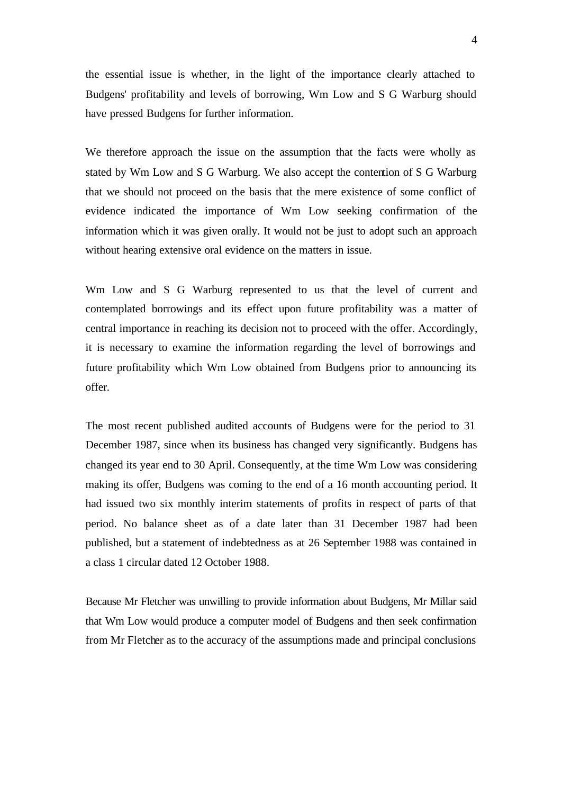the essential issue is whether, in the light of the importance clearly attached to Budgens' profitability and levels of borrowing, Wm Low and S G Warburg should have pressed Budgens for further information.

We therefore approach the issue on the assumption that the facts were wholly as stated by Wm Low and S G Warburg. We also accept the contention of S G Warburg that we should not proceed on the basis that the mere existence of some conflict of evidence indicated the importance of Wm Low seeking confirmation of the information which it was given orally. It would not be just to adopt such an approach without hearing extensive oral evidence on the matters in issue.

Wm Low and S G Warburg represented to us that the level of current and contemplated borrowings and its effect upon future profitability was a matter of central importance in reaching its decision not to proceed with the offer. Accordingly, it is necessary to examine the information regarding the level of borrowings and future profitability which Wm Low obtained from Budgens prior to announcing its offer.

The most recent published audited accounts of Budgens were for the period to 31 December 1987, since when its business has changed very significantly. Budgens has changed its year end to 30 April. Consequently, at the time Wm Low was considering making its offer, Budgens was coming to the end of a 16 month accounting period. It had issued two six monthly interim statements of profits in respect of parts of that period. No balance sheet as of a date later than 31 December 1987 had been published, but a statement of indebtedness as at 26 September 1988 was contained in a class 1 circular dated 12 October 1988.

Because Mr Fletcher was unwilling to provide information about Budgens, Mr Millar said that Wm Low would produce a computer model of Budgens and then seek confirmation from Mr Fletcher as to the accuracy of the assumptions made and principal conclusions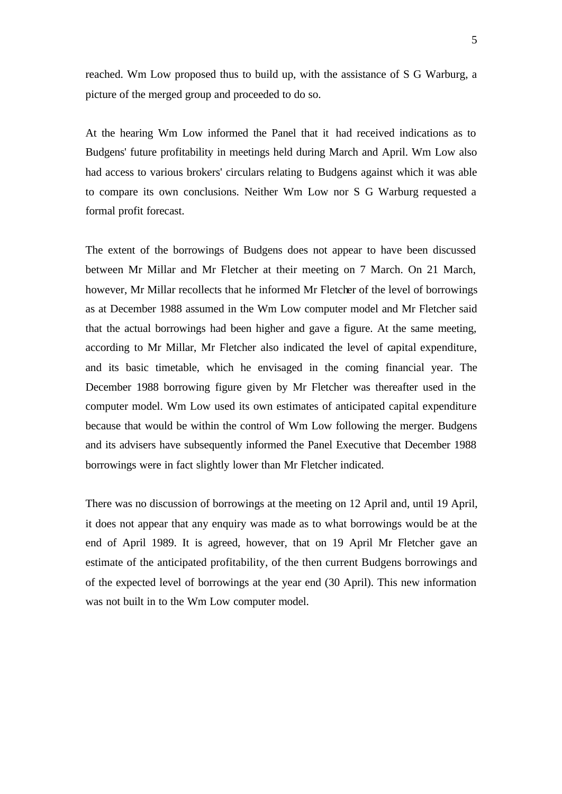reached. Wm Low proposed thus to build up, with the assistance of S G Warburg, a picture of the merged group and proceeded to do so.

At the hearing Wm Low informed the Panel that it had received indications as to Budgens' future profitability in meetings held during March and April. Wm Low also had access to various brokers' circulars relating to Budgens against which it was able to compare its own conclusions. Neither Wm Low nor S G Warburg requested a formal profit forecast.

The extent of the borrowings of Budgens does not appear to have been discussed between Mr Millar and Mr Fletcher at their meeting on 7 March. On 21 March, however, Mr Millar recollects that he informed Mr Fletcher of the level of borrowings as at December 1988 assumed in the Wm Low computer model and Mr Fletcher said that the actual borrowings had been higher and gave a figure. At the same meeting, according to Mr Millar, Mr Fletcher also indicated the level of capital expenditure, and its basic timetable, which he envisaged in the coming financial year. The December 1988 borrowing figure given by Mr Fletcher was thereafter used in the computer model. Wm Low used its own estimates of anticipated capital expenditure because that would be within the control of Wm Low following the merger. Budgens and its advisers have subsequently informed the Panel Executive that December 1988 borrowings were in fact slightly lower than Mr Fletcher indicated.

There was no discussion of borrowings at the meeting on 12 April and, until 19 April, it does not appear that any enquiry was made as to what borrowings would be at the end of April 1989. It is agreed, however, that on 19 April Mr Fletcher gave an estimate of the anticipated profitability, of the then current Budgens borrowings and of the expected level of borrowings at the year end (30 April). This new information was not built in to the Wm Low computer model.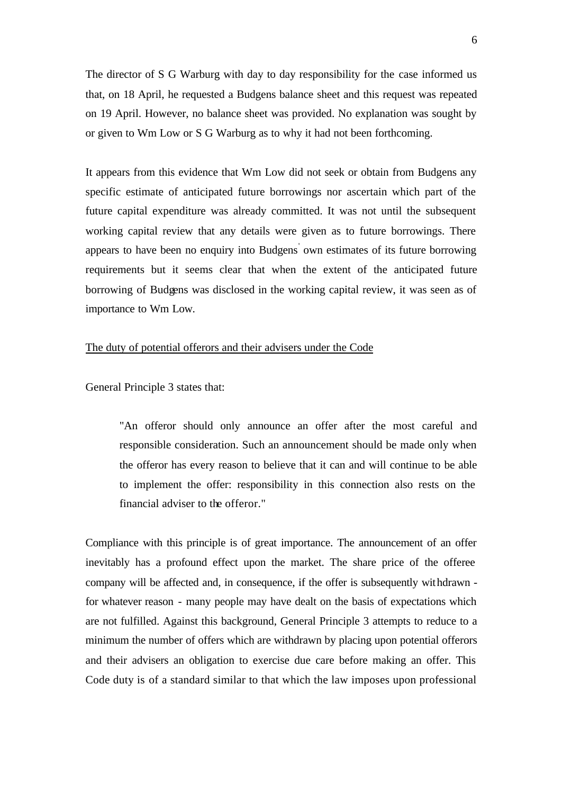The director of S G Warburg with day to day responsibility for the case informed us that, on 18 April, he requested a Budgens balance sheet and this request was repeated on 19 April. However, no balance sheet was provided. No explanation was sought by or given to Wm Low or S G Warburg as to why it had not been forthcoming.

It appears from this evidence that Wm Low did not seek or obtain from Budgens any specific estimate of anticipated future borrowings nor ascertain which part of the future capital expenditure was already committed. It was not until the subsequent working capital review that any details were given as to future borrowings. There appears to have been no enquiry into Budgens own estimates of its future borrowing requirements but it seems clear that when the extent of the anticipated future borrowing of Budgens was disclosed in the working capital review, it was seen as of importance to Wm Low.

## The duty of potential offerors and their advisers under the Code

General Principle 3 states that:

"An offeror should only announce an offer after the most careful and responsible consideration. Such an announcement should be made only when the offeror has every reason to believe that it can and will continue to be able to implement the offer: responsibility in this connection also rests on the financial adviser to the offeror."

Compliance with this principle is of great importance. The announcement of an offer inevitably has a profound effect upon the market. The share price of the offeree company will be affected and, in consequence, if the offer is subsequently withdrawn for whatever reason - many people may have dealt on the basis of expectations which are not fulfilled. Against this background, General Principle 3 attempts to reduce to a minimum the number of offers which are withdrawn by placing upon potential offerors and their advisers an obligation to exercise due care before making an offer. This Code duty is of a standard similar to that which the law imposes upon professional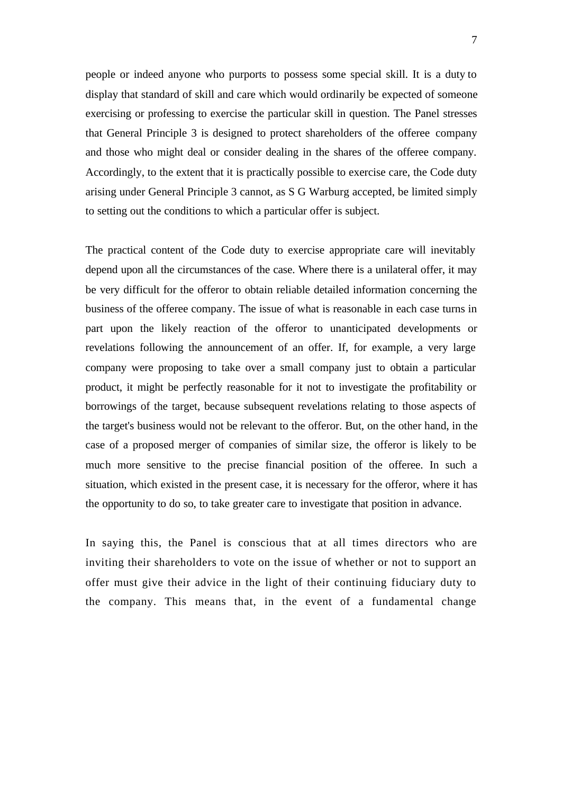people or indeed anyone who purports to possess some special skill. It is a duty to display that standard of skill and care which would ordinarily be expected of someone exercising or professing to exercise the particular skill in question. The Panel stresses that General Principle 3 is designed to protect shareholders of the offeree company and those who might deal or consider dealing in the shares of the offeree company. Accordingly, to the extent that it is practically possible to exercise care, the Code duty arising under General Principle 3 cannot, as S G Warburg accepted, be limited simply to setting out the conditions to which a particular offer is subject.

The practical content of the Code duty to exercise appropriate care will inevitably depend upon all the circumstances of the case. Where there is a unilateral offer, it may be very difficult for the offeror to obtain reliable detailed information concerning the business of the offeree company. The issue of what is reasonable in each case turns in part upon the likely reaction of the offeror to unanticipated developments or revelations following the announcement of an offer. If, for example, a very large company were proposing to take over a small company just to obtain a particular product, it might be perfectly reasonable for it not to investigate the profitability or borrowings of the target, because subsequent revelations relating to those aspects of the target's business would not be relevant to the offeror. But, on the other hand, in the case of a proposed merger of companies of similar size, the offeror is likely to be much more sensitive to the precise financial position of the offeree. In such a situation, which existed in the present case, it is necessary for the offeror, where it has the opportunity to do so, to take greater care to investigate that position in advance.

In saying this, the Panel is conscious that at all times directors who are inviting their shareholders to vote on the issue of whether or not to support an offer must give their advice in the light of their continuing fiduciary duty to the company. This means that, in the event of a fundamental change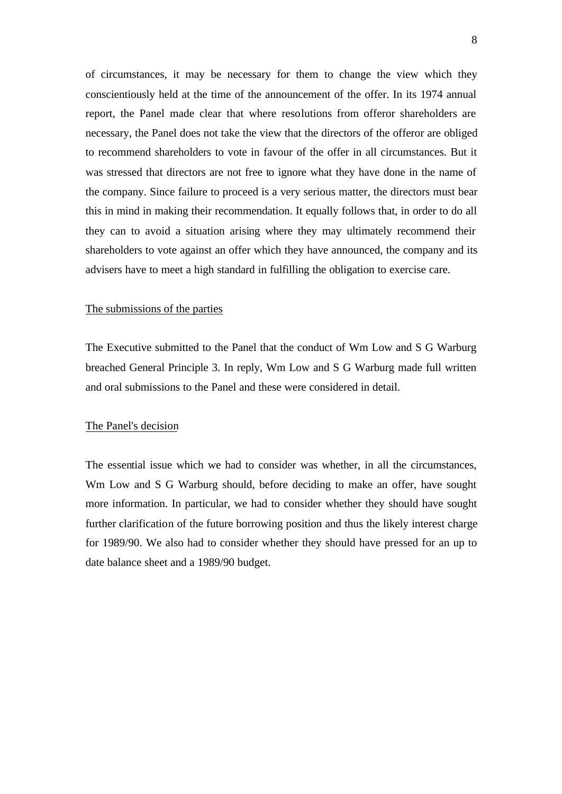of circumstances, it may be necessary for them to change the view which they conscientiously held at the time of the announcement of the offer. In its 1974 annual report, the Panel made clear that where resolutions from offeror shareholders are necessary, the Panel does not take the view that the directors of the offeror are obliged to recommend shareholders to vote in favour of the offer in all circumstances. But it was stressed that directors are not free to ignore what they have done in the name of the company. Since failure to proceed is a very serious matter, the directors must bear this in mind in making their recommendation. It equally follows that, in order to do all they can to avoid a situation arising where they may ultimately recommend their shareholders to vote against an offer which they have announced, the company and its advisers have to meet a high standard in fulfilling the obligation to exercise care.

## The submissions of the parties

The Executive submitted to the Panel that the conduct of Wm Low and S G Warburg breached General Principle 3. In reply, Wm Low and S G Warburg made full written and oral submissions to the Panel and these were considered in detail.

#### The Panel's decision

The essential issue which we had to consider was whether, in all the circumstances, Wm Low and S G Warburg should, before deciding to make an offer, have sought more information. In particular, we had to consider whether they should have sought further clarification of the future borrowing position and thus the likely interest charge for 1989/90. We also had to consider whether they should have pressed for an up to date balance sheet and a 1989/90 budget.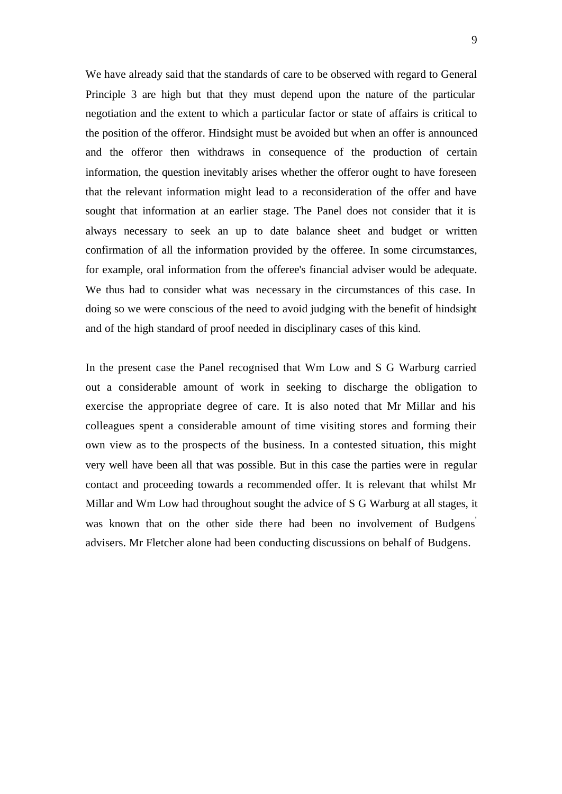We have already said that the standards of care to be observed with regard to General Principle 3 are high but that they must depend upon the nature of the particular negotiation and the extent to which a particular factor or state of affairs is critical to the position of the offeror. Hindsight must be avoided but when an offer is announced and the offeror then withdraws in consequence of the production of certain information, the question inevitably arises whether the offeror ought to have foreseen that the relevant information might lead to a reconsideration of the offer and have sought that information at an earlier stage. The Panel does not consider that it is always necessary to seek an up to date balance sheet and budget or written confirmation of all the information provided by the offeree. In some circumstances, for example, oral information from the offeree's financial adviser would be adequate. We thus had to consider what was necessary in the circumstances of this case. In doing so we were conscious of the need to avoid judging with the benefit of hindsight and of the high standard of proof needed in disciplinary cases of this kind.

In the present case the Panel recognised that Wm Low and S G Warburg carried out a considerable amount of work in seeking to discharge the obligation to exercise the appropriate degree of care. It is also noted that Mr Millar and his colleagues spent a considerable amount of time visiting stores and forming their own view as to the prospects of the business. In a contested situation, this might very well have been all that was possible. But in this case the parties were in regular contact and proceeding towards a recommended offer. It is relevant that whilst Mr Millar and Wm Low had throughout sought the advice of S G Warburg at all stages, it was known that on the other side there had been no involvement of Budgens' advisers. Mr Fletcher alone had been conducting discussions on behalf of Budgens.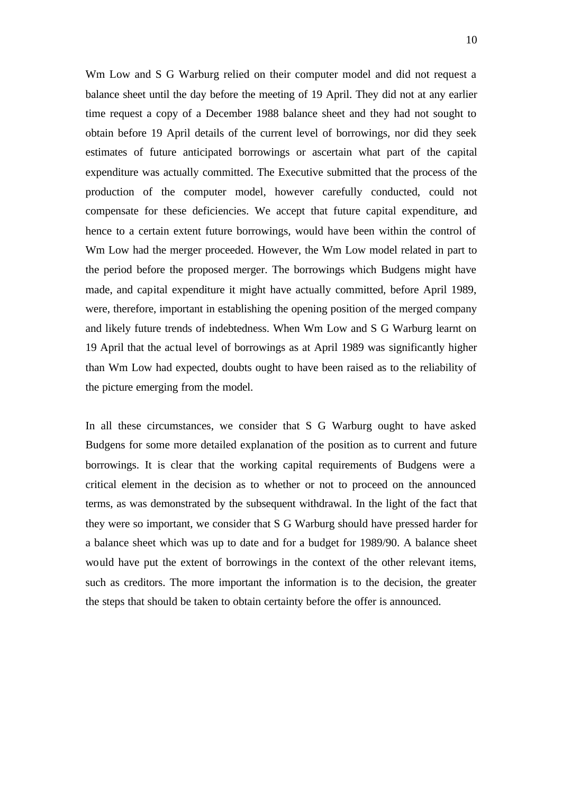Wm Low and S G Warburg relied on their computer model and did not request a balance sheet until the day before the meeting of 19 April. They did not at any earlier time request a copy of a December 1988 balance sheet and they had not sought to obtain before 19 April details of the current level of borrowings, nor did they seek estimates of future anticipated borrowings or ascertain what part of the capital expenditure was actually committed. The Executive submitted that the process of the production of the computer model, however carefully conducted, could not compensate for these deficiencies. We accept that future capital expenditure, and hence to a certain extent future borrowings, would have been within the control of Wm Low had the merger proceeded. However, the Wm Low model related in part to the period before the proposed merger. The borrowings which Budgens might have made, and capital expenditure it might have actually committed, before April 1989, were, therefore, important in establishing the opening position of the merged company and likely future trends of indebtedness. When Wm Low and S G Warburg learnt on 19 April that the actual level of borrowings as at April 1989 was significantly higher than Wm Low had expected, doubts ought to have been raised as to the reliability of the picture emerging from the model.

In all these circumstances, we consider that S G Warburg ought to have asked Budgens for some more detailed explanation of the position as to current and future borrowings. It is clear that the working capital requirements of Budgens were a critical element in the decision as to whether or not to proceed on the announced terms, as was demonstrated by the subsequent withdrawal. In the light of the fact that they were so important, we consider that S G Warburg should have pressed harder for a balance sheet which was up to date and for a budget for 1989/90. A balance sheet would have put the extent of borrowings in the context of the other relevant items, such as creditors. The more important the information is to the decision, the greater the steps that should be taken to obtain certainty before the offer is announced.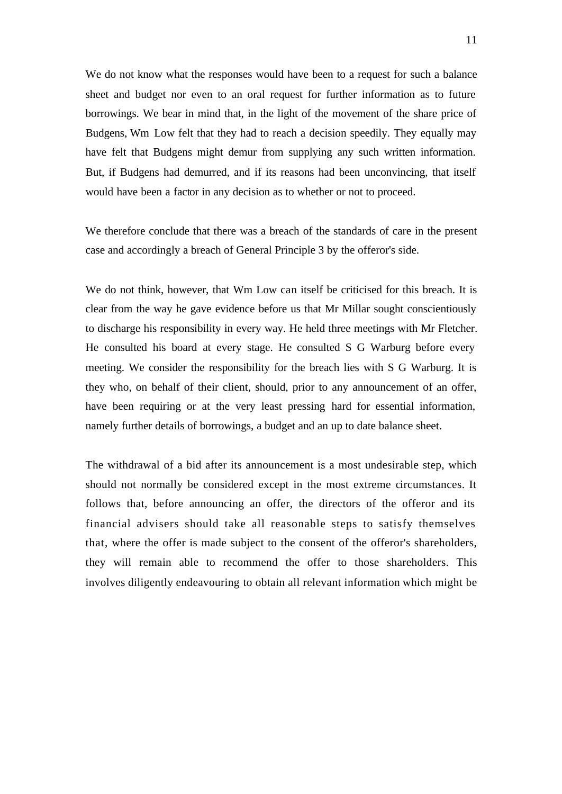We do not know what the responses would have been to a request for such a balance sheet and budget nor even to an oral request for further information as to future borrowings. We bear in mind that, in the light of the movement of the share price of Budgens, Wm Low felt that they had to reach a decision speedily. They equally may have felt that Budgens might demur from supplying any such written information. But, if Budgens had demurred, and if its reasons had been unconvincing, that itself would have been a factor in any decision as to whether or not to proceed.

We therefore conclude that there was a breach of the standards of care in the present case and accordingly a breach of General Principle 3 by the offeror's side.

We do not think, however, that Wm Low can itself be criticised for this breach. It is clear from the way he gave evidence before us that Mr Millar sought conscientiously to discharge his responsibility in every way. He held three meetings with Mr Fletcher. He consulted his board at every stage. He consulted S G Warburg before every meeting. We consider the responsibility for the breach lies with S G Warburg. It is they who, on behalf of their client, should, prior to any announcement of an offer, have been requiring or at the very least pressing hard for essential information, namely further details of borrowings, a budget and an up to date balance sheet.

The withdrawal of a bid after its announcement is a most undesirable step, which should not normally be considered except in the most extreme circumstances. It follows that, before announcing an offer, the directors of the offeror and its financial advisers should take all reasonable steps to satisfy themselves that, where the offer is made subject to the consent of the offeror's shareholders, they will remain able to recommend the offer to those shareholders. This involves diligently endeavouring to obtain all relevant information which might be